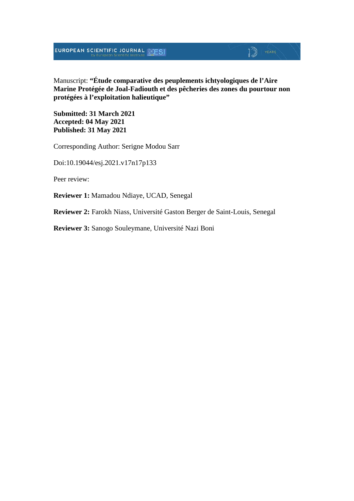# **EUROPEAN SCIENTIFIC JOURNAL SESI**

Manuscript: **"Étude comparative des peuplements ichtyologiques de l'Aire Marine Protégée de Joal-Fadiouth et des pêcheries des zones du pourtour non protégées à l'exploitation halieutique"**

 $\mathbb{D}$  YEARS

**Submitted: 31 March 2021 Accepted: 04 May 2021 Published: 31 May 2021**

Corresponding Author: Serigne Modou Sarr

Doi:10.19044/esj.2021.v17n17p133

Peer review:

**Reviewer 1:** Mamadou Ndiaye, UCAD, Senegal

**Reviewer 2:** Farokh Niass, Université Gaston Berger de Saint-Louis, Senegal

**Reviewer 3:** Sanogo Souleymane, Université Nazi Boni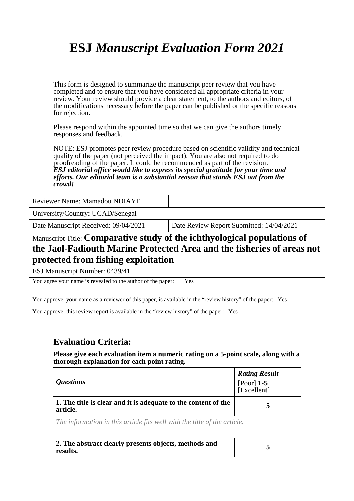# **ESJ** *Manuscript Evaluation Form 2021*

This form is designed to summarize the manuscript peer review that you have completed and to ensure that you have considered all appropriate criteria in your review. Your review should provide a clear statement, to the authors and editors, of the modifications necessary before the paper can be published or the specific reasons for rejection.

Please respond within the appointed time so that we can give the authors timely responses and feedback.

NOTE: ESJ promotes peer review procedure based on scientific validity and technical quality of the paper (not perceived the impact). You are also not required to do proofreading of the paper. It could be recommended as part of the revision. *ESJ editorial office would like to express its special gratitude for your time and efforts. Our editorial team is a substantial reason that stands ESJ out from the crowd!* 

Reviewer Name: Mamadou NDIAYE

University/Country: UCAD/Senegal

Date Manuscript Received: 09/04/2021 Date Review Report Submitted: 14/04/2021

## Manuscript Title: **Comparative study of the ichthyological populations of the Jaol-Fadiouth Marine Protected Area and the fisheries of areas not protected from fishing exploitation**

ESJ Manuscript Number: 0439/41

You agree your name is revealed to the author of the paper: Yes

You approve, your name as a reviewer of this paper, is available in the "review history" of the paper: Yes

You approve, this review report is available in the "review history" of the paper: Yes

### **Evaluation Criteria:**

**Please give each evaluation item a numeric rating on a 5-point scale, along with a thorough explanation for each point rating.**

| <i><b>Ouestions</b></i>                                                    | <b>Rating Result</b><br>[Poor] $1-5$<br>[Excellent] |
|----------------------------------------------------------------------------|-----------------------------------------------------|
| 1. The title is clear and it is adequate to the content of the<br>article. | 5                                                   |
| The information in this article fits well with the title of the article.   |                                                     |
| 2. The abstract clearly presents objects, methods and<br>results.          | 5                                                   |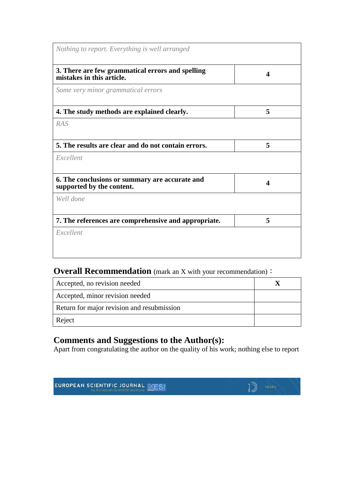## **Overall Recommendation** (mark an X with your recommendation):

| Accepted, no revision needed               |  |
|--------------------------------------------|--|
| Accepted, minor revision needed            |  |
| Return for major revision and resubmission |  |
| Reject                                     |  |

## **Comments and Suggestions to the Author(s):**

Apart from congratulating the author on the quality of his work; nothing else to report

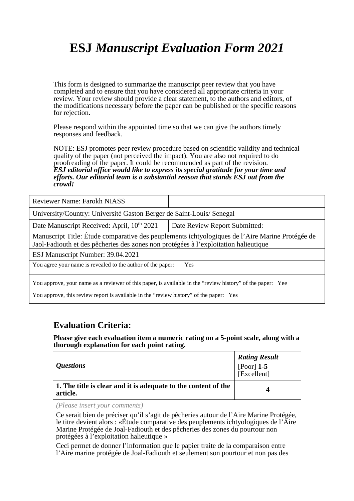# **ESJ** *Manuscript Evaluation Form 2021*

This form is designed to summarize the manuscript peer review that you have completed and to ensure that you have considered all appropriate criteria in your review. Your review should provide a clear statement, to the authors and editors, of the modifications necessary before the paper can be published or the specific reasons for rejection.

Please respond within the appointed time so that we can give the authors timely responses and feedback.

NOTE: ESJ promotes peer review procedure based on scientific validity and technical quality of the paper (not perceived the impact). You are also not required to do proofreading of the paper. It could be recommended as part of the revision. *ESJ editorial office would like to express its special gratitude for your time and efforts. Our editorial team is a substantial reason that stands ESJ out from the crowd!* 

| <b>Reviewer Name: Farokh NIASS</b>                                                                                                                                                     |                               |
|----------------------------------------------------------------------------------------------------------------------------------------------------------------------------------------|-------------------------------|
| University/Country: Université Gaston Berger de Saint-Louis/ Senegal                                                                                                                   |                               |
| Date Manuscript Received: April, 10 <sup>th</sup> 2021                                                                                                                                 | Date Review Report Submitted: |
| Manuscript Title: Étude comparative des peuplements ichtyologiques de l'Aire Marine Protégée de<br>Jaol-Fadiouth et des pêcheries des zones non protégées à l'exploitation halieutique |                               |
| ESJ Manuscript Number: 39.04.2021                                                                                                                                                      |                               |
| You agree your name is revealed to the author of the paper:<br>Yes                                                                                                                     |                               |
| You approve, your name as a reviewer of this paper, is available in the "review history" of the paper: Yee                                                                             |                               |
| You approve, this review report is available in the "review history" of the paper: Yes                                                                                                 |                               |

### **Evaluation Criteria:**

**Please give each evaluation item a numeric rating on a 5-point scale, along with a thorough explanation for each point rating.**

| <i><b>Questions</b></i>                                                    | <b>Rating Result</b><br>[Poor] <b>1-5</b><br>[Excellent] |
|----------------------------------------------------------------------------|----------------------------------------------------------|
| 1. The title is clear and it is adequate to the content of the<br>article. | Δ                                                        |
|                                                                            |                                                          |

*(Please insert your comments)*

Ce serait bien de préciser qu'il s'agit de pêcheries autour de l'Aire Marine Protégée, le titre devient alors : «Étude comparative des peuplements ichtyologiques de l'Aire Marine Protégée de Joal-Fadiouth et des pêcheries des zones du pourtour non protégées à l'exploitation halieutique »

Ceci permet de donner l'information que le papier traite de la comparaison entre l'Aire marine protégée de Joal-Fadiouth et seulement son pourtour et non pas des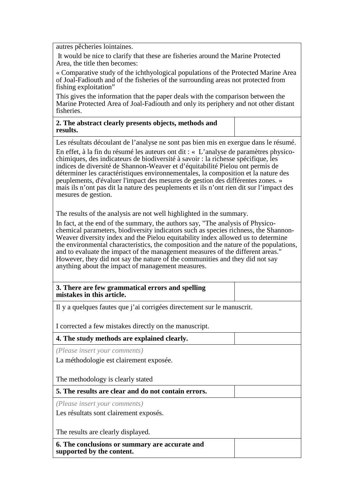autres pêcheries lointaines.

It would be nice to clarify that these are fisheries around the Marine Protected Area, the title then becomes:

« Comparative study of the ichthyological populations of the Protected Marine Area of Joal-Fadiouth and of the fisheries of the surrounding areas not protected from fishing exploitation"

This gives the information that the paper deals with the comparison between the Marine Protected Area of Joal-Fadiouth and only its periphery and not other distant fisheries.

**2. The abstract clearly presents objects, methods and results.**

Les résultats découlant de l'analyse ne sont pas bien mis en exergue dans le résumé.

En effet, à la fin du résumé les auteurs ont dit : « L'analyse de paramètres physicochimiques, des indicateurs de biodiversité à savoir : la richesse spécifique, les indices de diversité de Shannon-Weaver et d'équitabilité Pielou ont permis de déterminer les caractéristiques environnementales, la composition et la nature des peuplements, d'évaluer l'impact des mesures de gestion des différentes zones. » mais ils n'ont pas dit la nature des peuplements et ils n'ont rien dit sur l'impact des mesures de gestion.

The results of the analysis are not well highlighted in the summary.

In fact, at the end of the summary, the authors say, "The analysis of Physicochemical parameters, biodiversity indicators such as species richness, the Shannon-Weaver diversity index and the Pielou equitability index allowed us to determine the environmental characteristics, the composition and the nature of the populations, and to evaluate the impact of the management measures of the different areas." However, they did not say the nature of the communities and they did not say anything about the impact of management measures.

**3. There are few grammatical errors and spelling mistakes in this article.**

Il y a quelques fautes que j'ai corrigées directement sur le manuscrit.

I corrected a few mistakes directly on the manuscript.

#### **4. The study methods are explained clearly.**

*(Please insert your comments)*

La méthodologie est clairement exposée.

The methodology is clearly stated

**5. The results are clear and do not contain errors.**

*(Please insert your comments)*

Les résultats sont clairement exposés.

The results are clearly displayed.

**6. The conclusions or summary are accurate and supported by the content.**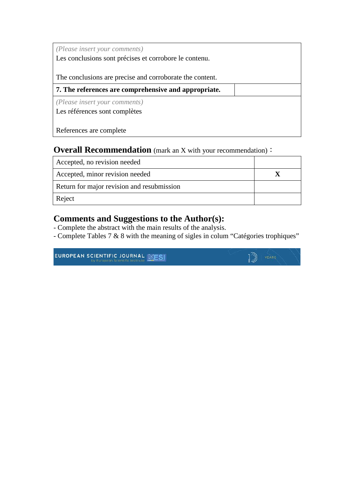*(Please insert your comments)* Les conclusions sont précises et corrobore le contenu.

The conclusions are precise and corroborate the content.

**7. The references are comprehensive and appropriate.**

*(Please insert your comments)*

Les références sont complètes

References are complete

## **Overall Recommendation** (mark an X with your recommendation):

| Accepted, no revision needed               |  |
|--------------------------------------------|--|
| Accepted, minor revision needed            |  |
| Return for major revision and resubmission |  |
| Reject                                     |  |

## **Comments and Suggestions to the Author(s):**

- Complete the abstract with the main results of the analysis.
- Complete Tables 7 & 8 with the meaning of sigles in colum "Catégories trophiques"

 $12)$ 

EUROPEAN SCIENTIFIC JOURNAL EESI by European Scientific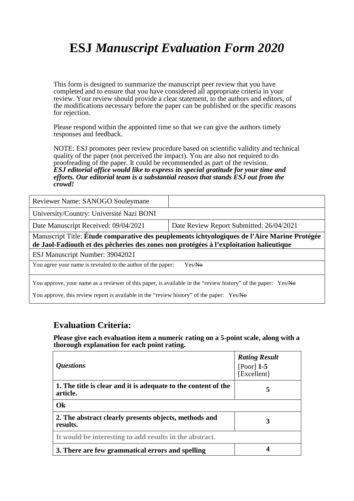# **ESJ** *Manuscript Evaluation Form 2020*

This form is designed to summarize the manuscript peer review that you have completed and to ensure that you have considered all appropriate criteria in your review. Your review should provide a clear statement, to the authors and editors, of the modifications necessary before the paper can be published or the specific reasons for rejection.

Please respond within the appointed time so that we can give the authors timely responses and feedback.

NOTE: ESJ promotes peer review procedure based on scientific validity and technical quality of the paper (not perceived the impact). You are also not required to do proofreading of the paper. It could be recommended as part of the revision. *ESJ editorial office would like to express its special gratitude for your time and efforts. Our editorial team is a substantial reason that stands ESJ out from the crowd!* 

| Reviewer Name: SANOGO Souleymane                                                                                                                                                       |                                          |  |
|----------------------------------------------------------------------------------------------------------------------------------------------------------------------------------------|------------------------------------------|--|
| University/Country: Université Nazi BONI                                                                                                                                               |                                          |  |
| Date Manuscript Received: 09/04/2021                                                                                                                                                   | Date Review Report Submitted: 26/04/2021 |  |
| Manuscript Title: Étude comparative des peuplements ichtyologiques de l'Aire Marine Protégée<br>de Jaol-Fadiouth et des pêcheries des zones non protégées à l'exploitation halieutique |                                          |  |
| ESJ Manuscript Number: 39042021                                                                                                                                                        |                                          |  |
| You agree your name is revealed to the author of the paper:<br>Yes/No                                                                                                                  |                                          |  |
| You approve, your name as a reviewer of this paper, is available in the "review history" of the paper: Yes/No                                                                          |                                          |  |

You approve, this review report is available in the "review history" of the paper: Yes/No

### **Evaluation Criteria:**

**Please give each evaluation item a numeric rating on a 5-point scale, along with a thorough explanation for each point rating.**

| <i><b>Ouestions</b></i>                                                    | <b>Rating Result</b><br>[Poor] $1-5$<br>[Excellent] |
|----------------------------------------------------------------------------|-----------------------------------------------------|
| 1. The title is clear and it is adequate to the content of the<br>article. | 5                                                   |
| Ok                                                                         |                                                     |
| 2. The abstract clearly presents objects, methods and<br>results.          | 3                                                   |
| It would be interesting to add results in the abstract.                    |                                                     |
| 3. There are few grammatical errors and spelling                           |                                                     |